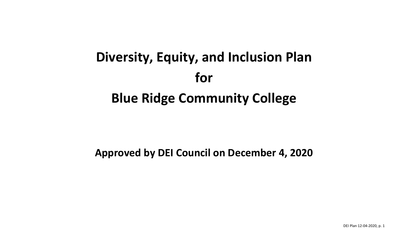# **Diversity, Equity, and Inclusion Plan for Blue Ridge Community College**

## **Approved by DEI Council on December 4, 2020**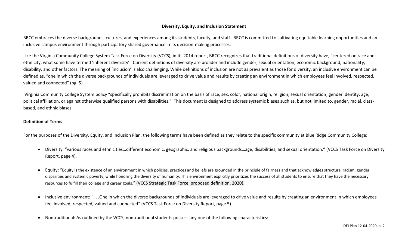### **Diversity, Equity, and Inclusion Statement**

BRCC embraces the diverse backgrounds, cultures, and experiences among its students, faculty, and staff. BRCC is committed to cultivating equitable learning opportunities and an inclusive campus environment through participatory shared governance in its decision-making processes.

Like the Virginia Community College System Task Force on Diversity (VCCS), in its 2014 report, BRCC recognizes that traditional definitions of diversity have, "centered on race and ethnicity, what some have termed 'inherent diversity'. Current definitions of diversity are broader and include gender, sexual orientation, economic background, nationality, disability, and other factors. The meaning of 'inclusion' is also challenging. While definitions of inclusion are not as prevalent as those for diversity, an inclusive environment can be defined as, "one in which the diverse backgrounds of individuals are leveraged to drive value and results by creating an environment in which employees feel involved, respected, valued and connected" (pg. 5).

Virginia Community College System policy "specifically prohibits discrimination on the basis of race, sex, color, national origin, religion, sexual orientation, gender identity, age, political affiliation, or against otherwise qualified persons with disabilities." This document is designed to address systemic biases such as, but not limited to, gender, racial, classbased, and ethnic biases.

#### **Definition of Terms**

For the purposes of the Diversity, Equity, and Inclusion Plan, the following terms have been defined as they relate to the specific community at Blue Ridge Community College:

- Diversity: "various races and ethnicities…different economic, geographic, and religious backgrounds…age, disabilities, and sexual orientation." (VCCS Task Force on Diversity Report, page 4).
- Equity: "Equity is the existence of an environment in which policies, practices and beliefs are grounded in the principle of fairness and that acknowledges structural racism, gender disparities and systemic poverty, while honoring the diversity of humanity. This environment explicitly prioritizes the success of all students to ensure that they have the necessary resources to fulfill their college and career goals." (VCCS Strategic Task Force, proposed definition, 2020).
- Inclusive environment: ". . .One in which the diverse backgrounds of individuals are leveraged to drive value and results by creating an environment in which employees feel involved, respected, valued and connected" (VCCS Task Force on Diversity Report, page 5).
- Nontraditional: As outlined by the VCCS, nontraditional students possess any one of the following characteristics: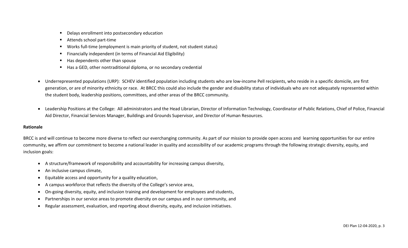- Delays enrollment into postsecondary education
- Attends school part-time
- Works full-time (employment is main priority of student, not student status)
- Financially independent (in terms of Financial Aid Eligibility)
- Has dependents other than spouse
- Has a GED, other nontraditional diploma, or no secondary credential
- Underrepresented populations (URP): SCHEV identified population including students who are low‐income Pell recipients, who reside in a specific domicile, are first generation, or are of minority ethnicity or race. At BRCC this could also include the gender and disability status of individuals who are not adequately represented within the student body, leadership positions, committees, and other areas of the BRCC community.
- Leadership Positions at the College: All administrators and the Head Librarian, Director of Information Technology, Coordinator of Public Relations, Chief of Police, Financial Aid Director, Financial Services Manager, Buildings and Grounds Supervisor, and Director of Human Resources.

#### **Rationale**

BRCC is and will continue to become more diverse to reflect our everchanging community. As part of our mission to provide open access and learning opportunities for our entire community, we affirm our commitment to become a national leader in quality and accessibility of our academic programs through the following strategic diversity, equity, and inclusion goals:

- A structure/framework of responsibility and accountability for increasing campus diversity,
- An inclusive campus climate,
- Equitable access and opportunity for a quality education,
- A campus workforce that reflects the diversity of the College's service area,
- On-going diversity, equity, and inclusion training and development for employees and students,
- Partnerships in our service areas to promote diversity on our campus and in our community, and
- Regular assessment, evaluation, and reporting about diversity, equity, and inclusion initiatives.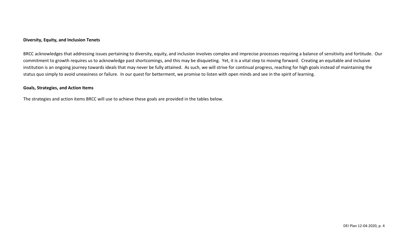BRCC acknowledges that addressing issues pertaining to diversity, equity, and inclusion involves complex and imprecise processes requiring a balance of sensitivity and fortitude. Our commitment to growth requires us to acknowledge past shortcomings, and this may be disquieting. Yet, it is a vital step to moving forward. Creating an equitable and inclusive institution is an ongoing journey towards ideals that may never be fully attained. As such, we will strive for continual progress, reaching for high goals instead of maintaining the status quo simply to avoid uneasiness or failure. In our quest for betterment, we promise to listen with open minds and see in the spirit of learning.

#### **Goals, Strategies, and Action Items**

The strategies and action items BRCC will use to achieve these goals are provided in the tables below.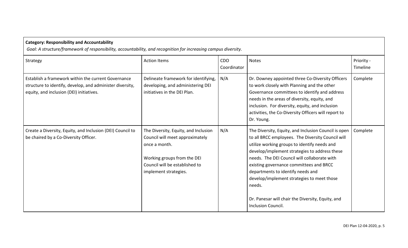| <b>Category: Responsibility and Accountability</b><br>Goal: A structure/framework of responsibility, accountability, and recognition for increasing campus diversity. |                                                                                                                                                                                    |                           |                                                                                                                                                                                                                                                                                                                                                                                                                                                                                      |                        |  |  |
|-----------------------------------------------------------------------------------------------------------------------------------------------------------------------|------------------------------------------------------------------------------------------------------------------------------------------------------------------------------------|---------------------------|--------------------------------------------------------------------------------------------------------------------------------------------------------------------------------------------------------------------------------------------------------------------------------------------------------------------------------------------------------------------------------------------------------------------------------------------------------------------------------------|------------------------|--|--|
| Strategy                                                                                                                                                              | <b>Action Items</b>                                                                                                                                                                | <b>CDO</b><br>Coordinator | <b>Notes</b>                                                                                                                                                                                                                                                                                                                                                                                                                                                                         | Priority -<br>Timeline |  |  |
| Establish a framework within the current Governance<br>structure to identify, develop, and administer diversity,<br>equity, and inclusion (DEI) initiatives.          | Delineate framework for identifying,<br>developing, and administering DEI<br>initiatives in the DEI Plan.                                                                          | N/A                       | Dr. Downey appointed three Co-Diversity Officers<br>to work closely with Planning and the other<br>Governance committees to identify and address<br>needs in the areas of diversity, equity, and<br>inclusion. For diversity, equity, and inclusion<br>activities, the Co-Diversity Officers will report to<br>Dr. Young.                                                                                                                                                            | Complete               |  |  |
| Create a Diversity, Equity, and Inclusion (DEI) Council to<br>be chaired by a Co-Diversity Officer.                                                                   | The Diversity, Equity, and Inclusion<br>Council will meet approximately<br>once a month.<br>Working groups from the DEI<br>Council will be established to<br>implement strategies. | N/A                       | The Diversity, Equity, and Inclusion Council is open<br>to all BRCC employees. The Diversity Council will<br>utilize working groups to identify needs and<br>develop/implement strategies to address these<br>needs. The DEI Council will collaborate with<br>existing governance committees and BRCC<br>departments to identify needs and<br>develop/implement strategies to meet those<br>needs.<br>Dr. Panesar will chair the Diversity, Equity, and<br><b>Inclusion Council.</b> | Complete               |  |  |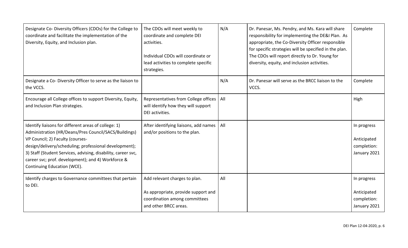| Designate Co- Diversity Officers (CDOs) for the College to<br>coordinate and facilitate the implementation of the<br>Diversity, Equity, and Inclusion plan.                                                                                                                                                                                                       | The CDOs will meet weekly to<br>coordinate and complete DEI<br>activities.<br>Individual CDOs will coordinate or<br>lead activities to complete specific<br>strategies. | N/A | Dr. Panesar, Ms. Pendry, and Ms. Kara will share<br>responsibility for implementing the DE&I Plan. As<br>appropriate, the Co-Diversity Officer responsible<br>for specific strategies will be specified in the plan.<br>The CDOs will report directly to Dr. Young for<br>diversity, equity, and inclusion activities. | Complete                                                  |
|-------------------------------------------------------------------------------------------------------------------------------------------------------------------------------------------------------------------------------------------------------------------------------------------------------------------------------------------------------------------|-------------------------------------------------------------------------------------------------------------------------------------------------------------------------|-----|------------------------------------------------------------------------------------------------------------------------------------------------------------------------------------------------------------------------------------------------------------------------------------------------------------------------|-----------------------------------------------------------|
| Designate a Co- Diversity Officer to serve as the liaison to<br>the VCCS.                                                                                                                                                                                                                                                                                         |                                                                                                                                                                         | N/A | Dr. Panesar will serve as the BRCC liaison to the<br>VCCS.                                                                                                                                                                                                                                                             | Complete                                                  |
| Encourage all College offices to support Diversity, Equity,<br>and Inclusion Plan strategies.                                                                                                                                                                                                                                                                     | Representatives from College offices<br>will identify how they will support<br>DEI activities.                                                                          | All |                                                                                                                                                                                                                                                                                                                        | High                                                      |
| Identify liaisons for different areas of college: 1)<br>Administration (HR/Deans/Pres Council/SACS/Buildings)<br>VP Council; 2) Faculty (courses-<br>design/delivery/scheduling; professional development);<br>3) Staff (Student Services, advising, disability, career svc,<br>career svc; prof. development); and 4) Workforce &<br>Continuing Education (WCE). | After identifying liaisons, add names<br>and/or positions to the plan.                                                                                                  | All |                                                                                                                                                                                                                                                                                                                        | In progress<br>Anticipated<br>completion:<br>January 2021 |
| Identify charges to Governance committees that pertain<br>to DEI.                                                                                                                                                                                                                                                                                                 | Add relevant charges to plan.<br>As appropriate, provide support and<br>coordination among committees<br>and other BRCC areas.                                          | All |                                                                                                                                                                                                                                                                                                                        | In progress<br>Anticipated<br>completion:<br>January 2021 |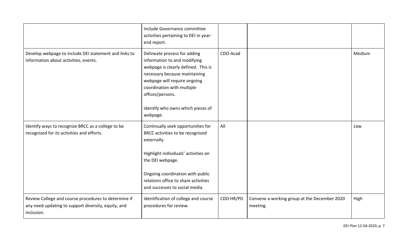|                                                                                                                           | Include Governance committee<br>activities pertaining to DEI in year-<br>end report.                                                                                                                                                                                    |           |                                                          |        |
|---------------------------------------------------------------------------------------------------------------------------|-------------------------------------------------------------------------------------------------------------------------------------------------------------------------------------------------------------------------------------------------------------------------|-----------|----------------------------------------------------------|--------|
| Develop webpage to include DEI statement and links to<br>information about activities, events.                            | Delineate process for adding<br>information to and modifying<br>webpage is clearly defined. This is<br>necessary because maintaining<br>webpage will require ongoing<br>coordination with multiple<br>offices/persons.<br>Identify who owns which pieces of<br>webpage. | CDO-Acad  |                                                          | Medium |
| Identify ways to recognize BRCC as a college to be<br>recognized for its activities and efforts.                          | Continually seek opportunities for<br>BRCC activities to be recognized<br>externally.<br>Highlight individuals' activities on<br>the DEI webpage.<br>Ongoing coordination with public<br>relations office to share activities<br>and successes to social media.         | All       |                                                          | Low    |
| Review College and course procedures to determine if<br>any need updating to support diversity, equity, and<br>inclusion. | Identification of college and course<br>procedures for review.                                                                                                                                                                                                          | CDO HR/PD | Convene a working group at the December 2020<br>meeting. | High   |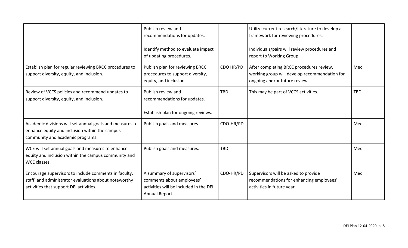|                                                                                                                                                           | Publish review and<br>recommendations for updates.<br>Identify method to evaluate impact<br>of updating procedures. |            | Utilize current research/literature to develop a<br>framework for reviewing procedures.<br>Individuals/pairs will review procedures and<br>report to Working Group. |            |
|-----------------------------------------------------------------------------------------------------------------------------------------------------------|---------------------------------------------------------------------------------------------------------------------|------------|---------------------------------------------------------------------------------------------------------------------------------------------------------------------|------------|
| Establish plan for regular reviewing BRCC procedures to<br>support diversity, equity, and inclusion.                                                      | Publish plan for reviewing BRCC<br>procedures to support diversity,<br>equity, and inclusion.                       | CDO HR/PD  | After completing BRCC procedures review,<br>working group will develop recommendation for<br>ongoing and/or future review.                                          | Med        |
| Review of VCCS policies and recommend updates to<br>support diversity, equity, and inclusion.                                                             | Publish review and<br>recommendations for updates.<br>Establish plan for ongoing reviews.                           | <b>TBD</b> | This may be part of VCCS activities.                                                                                                                                | <b>TBD</b> |
| Academic divisions will set annual goals and measures to<br>enhance equity and inclusion within the campus<br>community and academic programs.            | Publish goals and measures.                                                                                         | CDO-HR/PD  |                                                                                                                                                                     | Med        |
| WCE will set annual goals and measures to enhance<br>equity and inclusion within the campus community and<br>WCE classes.                                 | Publish goals and measures.                                                                                         | <b>TBD</b> |                                                                                                                                                                     | Med        |
| Encourage supervisors to include comments in faculty,<br>staff, and administrator evaluations about noteworthy<br>activities that support DEI activities. | A summary of supervisors'<br>comments about employees'<br>activities will be included in the DEI<br>Annual Report.  | CDO-HR/PD  | Supervisors will be asked to provide<br>recommendations for enhancing employees'<br>activities in future year.                                                      | Med        |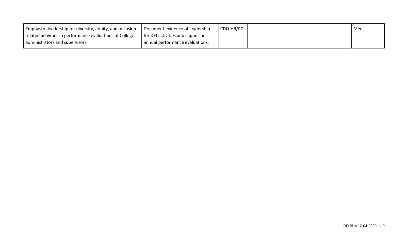| Emphasize leadership for diversity, equity, and inclusion $\Box$ Document evidence of leadership |                                   | CDO-HR/PD | Med |
|--------------------------------------------------------------------------------------------------|-----------------------------------|-----------|-----|
| related activities in performance evaluations of College                                         | for DEI activities and support in |           |     |
| administrators and supervisors.                                                                  | annual performance evaluations.   |           |     |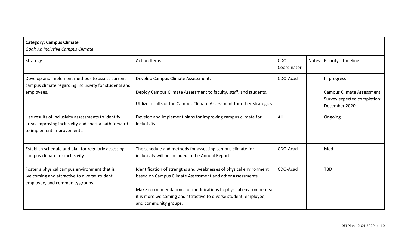| <b>Category: Campus Climate</b><br>Goal: An Inclusive Campus Climate                                                                     |                                                                                                                                                                                                      |                    |       |                                                                                  |
|------------------------------------------------------------------------------------------------------------------------------------------|------------------------------------------------------------------------------------------------------------------------------------------------------------------------------------------------------|--------------------|-------|----------------------------------------------------------------------------------|
| Strategy                                                                                                                                 | <b>Action Items</b>                                                                                                                                                                                  | CDO<br>Coordinator | Notes | Priority - Timeline                                                              |
| Develop and implement methods to assess current<br>campus climate regarding inclusivity for students and                                 | Develop Campus Climate Assessment.                                                                                                                                                                   | CDO-Acad           |       | In progress                                                                      |
| employees.                                                                                                                               | Deploy Campus Climate Assessment to faculty, staff, and students.<br>Utilize results of the Campus Climate Assessment for other strategies.                                                          |                    |       | <b>Campus Climate Assessment</b><br>Survey expected completion:<br>December 2020 |
| Use results of inclusivity assessments to identify<br>areas improving inclusivity and chart a path forward<br>to implement improvements. | Develop and implement plans for improving campus climate for<br>inclusivity.                                                                                                                         | All                |       | Ongoing                                                                          |
| Establish schedule and plan for regularly assessing<br>campus climate for inclusivity.                                                   | The schedule and methods for assessing campus climate for<br>inclusivity will be included in the Annual Report.                                                                                      | CDO-Acad           |       | Med                                                                              |
| Foster a physical campus environment that is<br>welcoming and attractive to diverse student,<br>employee, and community groups.          | Identification of strengths and weaknesses of physical environment<br>based on Campus Climate Assessment and other assessments.<br>Make recommendations for modifications to physical environment so | CDO-Acad           |       | <b>TBD</b>                                                                       |
|                                                                                                                                          | it is more welcoming and attractive to diverse student, employee,<br>and community groups.                                                                                                           |                    |       |                                                                                  |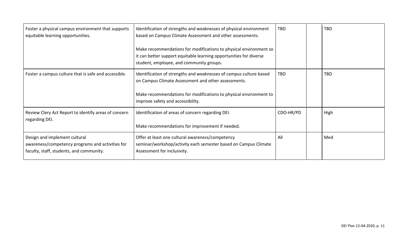| Foster a physical campus environment that supports<br>equitable learning opportunities.                                       | Identification of strengths and weaknesses of physical environment<br>based on Campus Climate Assessment and other assessments.                                                     | <b>TBD</b> | <b>TBD</b> |
|-------------------------------------------------------------------------------------------------------------------------------|-------------------------------------------------------------------------------------------------------------------------------------------------------------------------------------|------------|------------|
|                                                                                                                               | Make recommendations for modifications to physical environment so<br>it can better support equitable learning opportunities for diverse<br>student, employee, and community groups. |            |            |
| Foster a campus culture that is safe and accessible.                                                                          | Identification of strengths and weaknesses of campus culture based<br>on Campus Climate Assessment and other assessments.                                                           | <b>TBD</b> | <b>TBD</b> |
|                                                                                                                               | Make recommendations for modifications to physical environment to<br>improve safety and accessibility.                                                                              |            |            |
| Review Clery Act Report to identify areas of concern<br>regarding DEI.                                                        | Identification of areas of concern regarding DEI.                                                                                                                                   | CDO-HR/PD  | High       |
|                                                                                                                               | Make recommendations for improvement if needed.                                                                                                                                     |            |            |
| Design and implement cultural<br>awareness/competency programs and activities for<br>faculty, staff, students, and community. | Offer at least one cultural awareness/competency<br>seminar/workshop/activity each semester based on Campus Climate<br>Assessment for inclusivity.                                  | All        | Med        |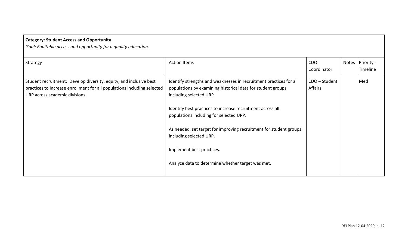| <b>Category: Student Access and Opportunity</b><br>Goal: Equitable access and opportunity for a quality education.                                                              |                                                                                                                                                              |                           |                              |
|---------------------------------------------------------------------------------------------------------------------------------------------------------------------------------|--------------------------------------------------------------------------------------------------------------------------------------------------------------|---------------------------|------------------------------|
| Strategy                                                                                                                                                                        | <b>Action Items</b>                                                                                                                                          | <b>CDO</b><br>Coordinator | Notes Priority -<br>Timeline |
| Student recruitment: Develop diversity, equity, and inclusive best<br>practices to increase enrollment for all populations including selected<br>URP across academic divisions. | Identify strengths and weaknesses in recruitment practices for all<br>populations by examining historical data for student groups<br>including selected URP. | CDO - Student<br>Affairs  | Med                          |
|                                                                                                                                                                                 | Identify best practices to increase recruitment across all<br>populations including for selected URP.                                                        |                           |                              |
|                                                                                                                                                                                 | As needed, set target for improving recruitment for student groups<br>including selected URP.                                                                |                           |                              |
|                                                                                                                                                                                 | Implement best practices.                                                                                                                                    |                           |                              |
|                                                                                                                                                                                 | Analyze data to determine whether target was met.                                                                                                            |                           |                              |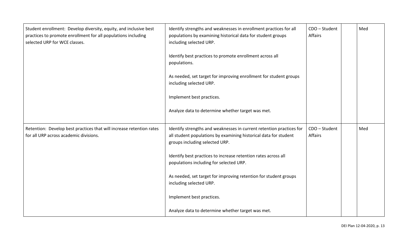| Student enrollment: Develop diversity, equity, and inclusive best<br>practices to promote enrollment for all populations including<br>selected URP for WCE classes. | Identify strengths and weaknesses in enrollment practices for all<br>populations by examining historical data for student groups<br>including selected URP.                | CDO - Student<br>Affairs | Med |
|---------------------------------------------------------------------------------------------------------------------------------------------------------------------|----------------------------------------------------------------------------------------------------------------------------------------------------------------------------|--------------------------|-----|
|                                                                                                                                                                     | Identify best practices to promote enrollment across all<br>populations.                                                                                                   |                          |     |
|                                                                                                                                                                     | As needed, set target for improving enrollment for student groups<br>including selected URP.                                                                               |                          |     |
|                                                                                                                                                                     | Implement best practices.                                                                                                                                                  |                          |     |
|                                                                                                                                                                     | Analyze data to determine whether target was met.                                                                                                                          |                          |     |
| Retention: Develop best practices that will increase retention rates<br>for all URP across academic divisions.                                                      | Identify strengths and weaknesses in current retention practices for<br>all student populations by examining historical data for student<br>groups including selected URP. | CDO - Student<br>Affairs | Med |
|                                                                                                                                                                     | Identify best practices to increase retention rates across all<br>populations including for selected URP.                                                                  |                          |     |
|                                                                                                                                                                     | As needed, set target for improving retention for student groups<br>including selected URP.                                                                                |                          |     |
|                                                                                                                                                                     | Implement best practices.                                                                                                                                                  |                          |     |
|                                                                                                                                                                     | Analyze data to determine whether target was met.                                                                                                                          |                          |     |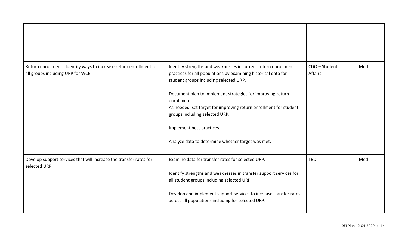| Return enrollment: Identify ways to increase return enrollment for<br>all groups including URP for WCE. | Identify strengths and weaknesses in current return enrollment<br>practices for all populations by examining historical data for<br>student groups including selected URP.<br>Document plan to implement strategies for improving return<br>enrollment.<br>As needed, set target for improving return enrollment for student<br>groups including selected URP.<br>Implement best practices.<br>Analyze data to determine whether target was met. | CDO - Student<br><b>Affairs</b> | Med |
|---------------------------------------------------------------------------------------------------------|--------------------------------------------------------------------------------------------------------------------------------------------------------------------------------------------------------------------------------------------------------------------------------------------------------------------------------------------------------------------------------------------------------------------------------------------------|---------------------------------|-----|
| Develop support services that will increase the transfer rates for<br>selected URP.                     | Examine data for transfer rates for selected URP.<br>Identify strengths and weaknesses in transfer support services for<br>all student groups including selected URP.<br>Develop and implement support services to increase transfer rates<br>across all populations including for selected URP.                                                                                                                                                 | <b>TBD</b>                      | Med |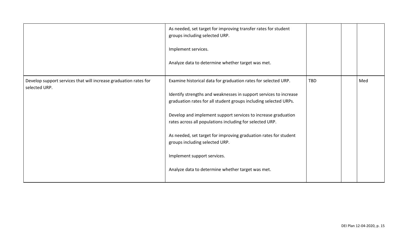|                                                                                   | As needed, set target for improving transfer rates for student<br>groups including selected URP.<br>Implement services.<br>Analyze data to determine whether target was met.                                                                                                                                                                                                                                                                                                                                                   |            |     |
|-----------------------------------------------------------------------------------|--------------------------------------------------------------------------------------------------------------------------------------------------------------------------------------------------------------------------------------------------------------------------------------------------------------------------------------------------------------------------------------------------------------------------------------------------------------------------------------------------------------------------------|------------|-----|
| Develop support services that will increase graduation rates for<br>selected URP. | Examine historical data for graduation rates for selected URP.<br>Identify strengths and weaknesses in support services to increase<br>graduation rates for all student groups including selected URPs.<br>Develop and implement support services to increase graduation<br>rates across all populations including for selected URP.<br>As needed, set target for improving graduation rates for student<br>groups including selected URP.<br>Implement support services.<br>Analyze data to determine whether target was met. | <b>TBD</b> | Med |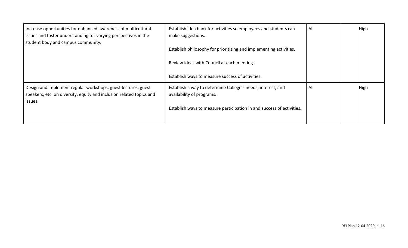| Increase opportunities for enhanced awareness of multicultural<br>issues and foster understanding for varying perspectives in the                | Establish idea bank for activities so employees and students can<br>make suggestions.    | All | High |
|--------------------------------------------------------------------------------------------------------------------------------------------------|------------------------------------------------------------------------------------------|-----|------|
| student body and campus community.                                                                                                               | Establish philosophy for prioritizing and implementing activities.                       |     |      |
|                                                                                                                                                  | Review ideas with Council at each meeting.                                               |     |      |
|                                                                                                                                                  | Establish ways to measure success of activities.                                         |     |      |
| Design and implement regular workshops, guest lectures, guest<br>speakers, etc. on diversity, equity and inclusion related topics and<br>issues. | Establish a way to determine College's needs, interest, and<br>availability of programs. | All | High |
|                                                                                                                                                  | Establish ways to measure participation in and success of activities.                    |     |      |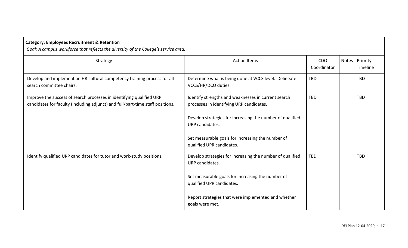| <b>Category: Employees Recruitment &amp; Retention</b><br>Goal: A campus workforce that reflects the diversity of the College's service area.          |                                                                                                                                                                                                                                                                   |                           |       |                        |  |  |
|--------------------------------------------------------------------------------------------------------------------------------------------------------|-------------------------------------------------------------------------------------------------------------------------------------------------------------------------------------------------------------------------------------------------------------------|---------------------------|-------|------------------------|--|--|
| Strategy                                                                                                                                               | <b>Action Items</b>                                                                                                                                                                                                                                               | <b>CDO</b><br>Coordinator | Notes | Priority -<br>Timeline |  |  |
| Develop and implement an HR cultural competency training process for all<br>search committee chairs.                                                   | Determine what is being done at VCCS level. Delineate<br>VCCS/HR/DCO duties.                                                                                                                                                                                      | <b>TBD</b>                |       | <b>TBD</b>             |  |  |
| Improve the success of search processes in identifying qualified URP<br>candidates for faculty (including adjunct) and full/part-time staff positions. | Identify strengths and weaknesses in current search<br>processes in identifying URP candidates.<br>Develop strategies for increasing the number of qualified<br>URP candidates.<br>Set measurable goals for increasing the number of<br>qualified UPR candidates. | <b>TBD</b>                |       | <b>TBD</b>             |  |  |
| Identify qualified URP candidates for tutor and work-study positions.                                                                                  | Develop strategies for increasing the number of qualified<br>URP candidates.<br>Set measurable goals for increasing the number of<br>qualified UPR candidates.<br>Report strategies that were implemented and whether<br>goals were met.                          | <b>TBD</b>                |       | <b>TBD</b>             |  |  |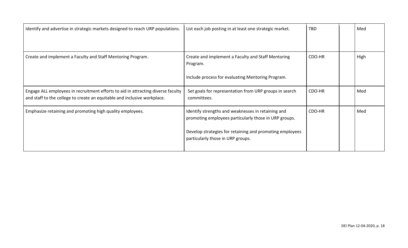| Identify and advertise in strategic markets designed to reach URP populations.                                                                               | List each job posting in at least one strategic market.                                                                                                                                                      | TBD    | Med  |
|--------------------------------------------------------------------------------------------------------------------------------------------------------------|--------------------------------------------------------------------------------------------------------------------------------------------------------------------------------------------------------------|--------|------|
| Create and implement a Faculty and Staff Mentoring Program.                                                                                                  | Create and implement a Faculty and Staff Mentoring<br>Program.<br>Include process for evaluating Mentoring Program.                                                                                          | CDO-HR | High |
| Engage ALL employees in recruitment efforts to aid in attracting diverse faculty<br>and staff to the college to create an equitable and inclusive workplace. | Set goals for representation from URP groups in search<br>committees.                                                                                                                                        | CDO-HR | Med  |
| Emphasize retaining and promoting high quality employees.                                                                                                    | Identify strengths and weaknesses in retaining and<br>promoting employees particularly those in URP groups.<br>Develop strategies for retaining and promoting employees<br>particularly those in URP groups. | CDO-HR | Med  |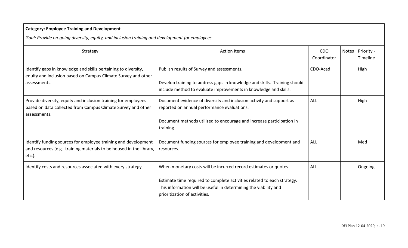| <b>Category: Employee Training and Development</b>                                                                                                 |                                                                                                                                                                                                                                                  |                           |       |                        |  |  |
|----------------------------------------------------------------------------------------------------------------------------------------------------|--------------------------------------------------------------------------------------------------------------------------------------------------------------------------------------------------------------------------------------------------|---------------------------|-------|------------------------|--|--|
| Goal: Provide on-going diversity, equity, and inclusion training and development for employees.                                                    |                                                                                                                                                                                                                                                  |                           |       |                        |  |  |
| Strategy                                                                                                                                           | <b>Action Items</b>                                                                                                                                                                                                                              | <b>CDO</b><br>Coordinator | Notes | Priority -<br>Timeline |  |  |
| Identify gaps in knowledge and skills pertaining to diversity,<br>equity and inclusion based on Campus Climate Survey and other<br>assessments.    | Publish results of Survey and assessments.<br>Develop training to address gaps in knowledge and skills. Training should<br>include method to evaluate improvements in knowledge and skills.                                                      | CDO-Acad                  |       | High                   |  |  |
| Provide diversity, equity and inclusion training for employees<br>based on data collected from Campus Climate Survey and other<br>assessments.     | Document evidence of diversity and inclusion activity and support as<br>reported on annual performance evaluations.<br>Document methods utilized to encourage and increase participation in<br>training.                                         | ALL                       |       | High                   |  |  |
| Identify funding sources for employee training and development<br>and resources (e.g. training materials to be housed in the library,<br>$etc.$ ). | Document funding sources for employee training and development and<br>resources.                                                                                                                                                                 | ALL                       |       | Med                    |  |  |
| Identify costs and resources associated with every strategy.                                                                                       | When monetary costs will be incurred record estimates or quotes.<br>Estimate time required to complete activities related to each strategy.<br>This information will be useful in determining the viability and<br>prioritization of activities. | ALL                       |       | Ongoing                |  |  |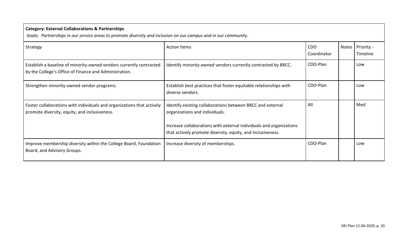| <b>Category: External Collaborations &amp; Partnerships</b><br>Goals: Partnerships in our service areas to promote diversity and inclusion on our campus and in our community. |                                                                                                                                                                                                                                    |                    |       |                        |  |  |
|--------------------------------------------------------------------------------------------------------------------------------------------------------------------------------|------------------------------------------------------------------------------------------------------------------------------------------------------------------------------------------------------------------------------------|--------------------|-------|------------------------|--|--|
| Strategy                                                                                                                                                                       | <b>Action Items</b>                                                                                                                                                                                                                | CDO<br>Coordinator | Notes | Priority -<br>Timeline |  |  |
| Establish a baseline of minority-owned vendors currently contracted<br>by the College's Office of Finance and Administration.                                                  | Identify minority-owned vendors currently contracted by BRCC.                                                                                                                                                                      | CDO-Plan           |       | Low                    |  |  |
| Strengthen minority-owned vendor programs.                                                                                                                                     | Establish best practices that foster equitable relationships with<br>diverse vendors.                                                                                                                                              | CDO-Plan           |       | Low                    |  |  |
| Foster collaborations with individuals and organizations that actively<br>promote diversity, equity, and inclusiveness.                                                        | Identify existing collaborations between BRCC and external<br>organizations and individuals.<br>Increase collaborations with external individuals and organizations<br>that actively promote diversity, equity, and inclusiveness. | All                |       | Med                    |  |  |
| Improve membership diversity within the College Board, Foundation<br>Board, and Advisory Groups.                                                                               | Increase diversity of memberships.                                                                                                                                                                                                 | CDO-Plan           |       | Low                    |  |  |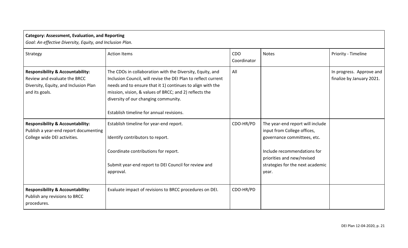| <b>Category: Assessment, Evaluation, and Reporting</b><br>Goal: An effective Diversity, Equity, and Inclusion Plan.                    |                                                                                                                                                                                                                                                                                                                                         |                    |                                                                                                                                                                                                          |                                                       |  |
|----------------------------------------------------------------------------------------------------------------------------------------|-----------------------------------------------------------------------------------------------------------------------------------------------------------------------------------------------------------------------------------------------------------------------------------------------------------------------------------------|--------------------|----------------------------------------------------------------------------------------------------------------------------------------------------------------------------------------------------------|-------------------------------------------------------|--|
| Strategy                                                                                                                               | <b>Action Items</b>                                                                                                                                                                                                                                                                                                                     | CDO<br>Coordinator | <b>Notes</b>                                                                                                                                                                                             | Priority - Timeline                                   |  |
| <b>Responsibility &amp; Accountability:</b><br>Review and evaluate the BRCC<br>Diversity, Equity, and Inclusion Plan<br>and its goals. | The CDOs in collaboration with the Diversity, Equity, and<br>Inclusion Council, will revise the DEI Plan to reflect current<br>needs and to ensure that it 1) continues to align with the<br>mission, vision, & values of BRCC; and 2) reflects the<br>diversity of our changing community.<br>Establish timeline for annual revisions. | All                |                                                                                                                                                                                                          | In progress. Approve and<br>finalize by January 2021. |  |
| <b>Responsibility &amp; Accountability:</b><br>Publish a year-end report documenting<br>College wide DEI activities.                   | Establish timeline for year-end report.<br>Identify contributors to report.<br>Coordinate contributions for report.<br>Submit year-end report to DEI Council for review and<br>approval.                                                                                                                                                | CDO-HR/PD          | The year-end report will include<br>input from College offices,<br>governance committees, etc.<br>Include recommendations for<br>priorities and new/revised<br>strategies for the next academic<br>year. |                                                       |  |
| <b>Responsibility &amp; Accountability:</b><br>Publish any revisions to BRCC<br>procedures.                                            | Evaluate impact of revisions to BRCC procedures on DEI.                                                                                                                                                                                                                                                                                 | CDO-HR/PD          |                                                                                                                                                                                                          |                                                       |  |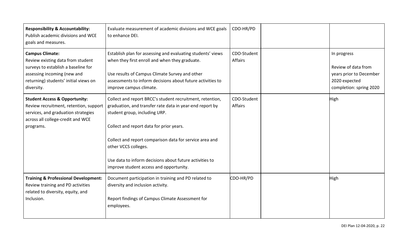| <b>Responsibility &amp; Accountability:</b><br>Publish academic divisions and WCE<br>goals and measures.                                                                                 | Evaluate measurement of academic divisions and WCE goals<br>to enhance DEI.                                                                                                                                                                                                                                                                                                                 | CDO-HR/PD              |                                                                                                           |
|------------------------------------------------------------------------------------------------------------------------------------------------------------------------------------------|---------------------------------------------------------------------------------------------------------------------------------------------------------------------------------------------------------------------------------------------------------------------------------------------------------------------------------------------------------------------------------------------|------------------------|-----------------------------------------------------------------------------------------------------------|
| <b>Campus Climate:</b><br>Review existing data from student<br>surveys to establish a baseline for<br>assessing incoming (new and<br>returning) students' initial views on<br>diversity. | Establish plan for assessing and evaluating students' views<br>when they first enroll and when they graduate.<br>Use results of Campus Climate Survey and other<br>assessments to inform decisions about future activities to<br>improve campus climate.                                                                                                                                    | CDO-Student<br>Affairs | In progress<br>Review of data from<br>years prior to December<br>2020 expected<br>completion: spring 2020 |
| <b>Student Access &amp; Opportunity:</b><br>Review recruitment, retention, support<br>services, and graduation strategies<br>across all college-credit and WCE<br>programs.              | Collect and report BRCC's student recruitment, retention,<br>graduation, and transfer rate data in year-end report by<br>student group, including URP.<br>Collect and report data for prior years.<br>Collect and report comparison data for service area and<br>other VCCS colleges.<br>Use data to inform decisions about future activities to<br>improve student access and opportunity. | CDO-Student<br>Affairs | High                                                                                                      |
| <b>Training &amp; Professional Development:</b><br>Review training and PD activities<br>related to diversity, equity, and<br>Inclusion.                                                  | Document participation in training and PD related to<br>diversity and inclusion activity.<br>Report findings of Campus Climate Assessment for<br>employees.                                                                                                                                                                                                                                 | CDO-HR/PD              | <b>High</b>                                                                                               |